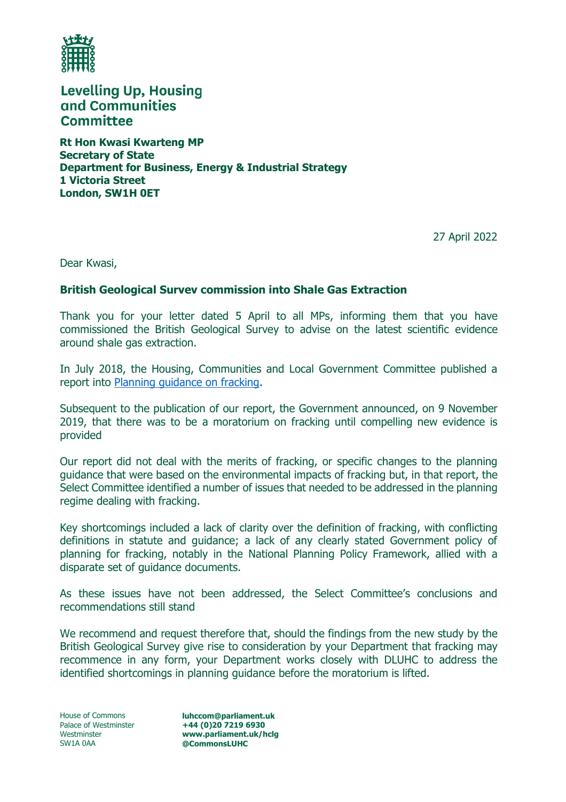

**Levelling Up, Housing** and Communities **Committee** 

**Rt Hon Kwasi Kwarteng MP Secretary of State Department for Business, Energy & Industrial Strategy 1 Victoria Street London, SW1H 0ET**

27 April 2022

Dear Kwasi,

## **British Geological Survev commission into Shale Gas Extraction**

Thank you for your letter dated 5 April to all MPs, informing them that you have commissioned the British Geological Survey to advise on the latest scientific evidence around shale gas extraction.

In July 2018, the Housing, Communities and Local Government Committee published a report into [Planning guidance on fracking.](https://publications.parliament.uk/pa/cm201719/cmselect/cmcomloc/767/767.pdf)

Subsequent to the publication of our report, the Government announced, on 9 November 2019, that there was to be a moratorium on fracking until compelling new evidence is provided

Our report did not deal with the merits of fracking, or specific changes to the planning guidance that were based on the environmental impacts of fracking but, in that report, the Select Committee identified a number of issues that needed to be addressed in the planning regime dealing with fracking.

Key shortcomings included a lack of clarity over the definition of fracking, with conflicting definitions in statute and guidance; a lack of any clearly stated Government policy of planning for fracking, notably in the National Planning Policy Framework, allied with a disparate set of guidance documents.

As these issues have not been addressed, the Select Committee's conclusions and recommendations still stand

We recommend and request therefore that, should the findings from the new study by the British Geological Survey give rise to consideration by your Department that fracking may recommence in any form, your Department works closely with DLUHC to address the identified shortcomings in planning guidance before the moratorium is lifted.

House of Commons Palace of Westminster Westminster SW1A 0AA

**luhccom@parliament.uk +44 (0)20 7219 6930 www.parliament.uk/hclg @CommonsLUHC**